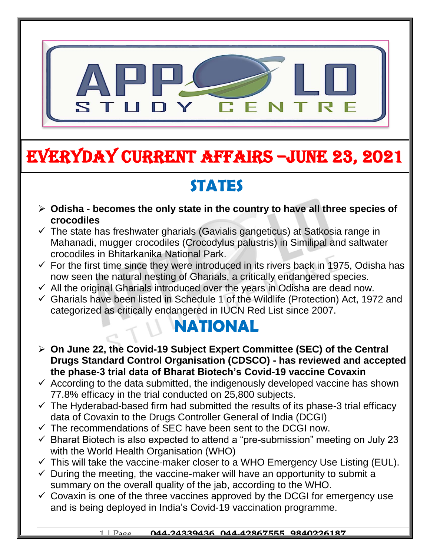

## EVERYDAY CURRENT AFFAIRS –jUNE 23, 2021

### **STATES**

-

- **Odisha - becomes the only state in the country to have all three species of crocodiles**
- $\checkmark$  The state has freshwater gharials (Gavialis gangeticus) at Satkosia range in Mahanadi, mugger crocodiles (Crocodylus palustris) in Similipal and saltwater crocodiles in Bhitarkanika National Park.
- $\checkmark$  For the first time since they were introduced in its rivers back in 1975, Odisha has now seen the natural nesting of Gharials, a critically endangered species.
- $\checkmark$  All the original Gharials introduced over the years in Odisha are dead now.
- $\checkmark$  Gharials have been listed in Schedule 1 of the Wildlife (Protection) Act, 1972 and categorized as critically endangered in IUCN Red List since 2007.

#### **NATIONAL**

- **On June 22, the Covid-19 Subject Expert Committee (SEC) of the Central Drugs Standard Control Organisation (CDSCO) - has reviewed and accepted the phase-3 trial data of Bharat Biotech's Covid-19 vaccine Covaxin**
- $\checkmark$  According to the data submitted, the indigenously developed vaccine has shown 77.8% efficacy in the trial conducted on 25,800 subjects.
- $\checkmark$  The Hyderabad-based firm had submitted the results of its phase-3 trial efficacy data of Covaxin to the Drugs Controller General of India (DCGI)
- $\checkmark$  The recommendations of SEC have been sent to the DCGI now.
- $\checkmark$  Bharat Biotech is also expected to attend a "pre-submission" meeting on July 23 with the World Health Organisation (WHO)
- $\checkmark$  This will take the vaccine-maker closer to a WHO Emergency Use Listing (EUL).
- $\checkmark$  During the meeting, the vaccine-maker will have an opportunity to submit a summary on the overall quality of the jab, according to the WHO.
- $\checkmark$  Covaxin is one of the three vaccines approved by the DCGI for emergency use and is being deployed in India's Covid-19 vaccination programme.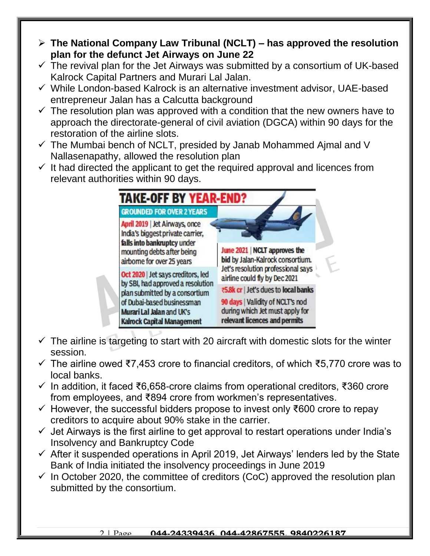- **The National Company Law Tribunal (NCLT) – has approved the resolution plan for the defunct Jet Airways on June 22**
- $\checkmark$  The revival plan for the Jet Airways was submitted by a consortium of UK-based Kalrock Capital Partners and Murari Lal Jalan.
- While London-based Kalrock is an alternative investment advisor, UAE-based entrepreneur Jalan has a Calcutta background
- $\checkmark$  The resolution plan was approved with a condition that the new owners have to approach the directorate-general of civil aviation (DGCA) within 90 days for the restoration of the airline slots.
- $\checkmark$  The Mumbai bench of NCLT, presided by Janab Mohammed Ajmal and V Nallasenapathy, allowed the resolution plan
- $\checkmark$  It had directed the applicant to get the required approval and licences from relevant authorities within 90 days.

| <b>GROUNDED FOR OVER 2 YEARS</b>                                                                                                                                                                          |                                                                                                      |
|-----------------------------------------------------------------------------------------------------------------------------------------------------------------------------------------------------------|------------------------------------------------------------------------------------------------------|
| April 2019   Jet Airways, once<br>India's biggest private carrier,<br>falls into bankruptcy under                                                                                                         |                                                                                                      |
| mounting debts after being<br>airborne for over 25 years                                                                                                                                                  | June 2021   NCLT approves the<br>bid by Jalan-Kalrock consortium.                                    |
| Oct 2020   Jet says creditors, led<br>by SBI, had approved a resolution<br>plan submitted by a consortium<br>of Dubai-based businessman<br>Murari Lal Jalan and UK's<br><b>Kalrock Capital Management</b> | Jet's resolution professional says<br>airline could fly by Dec 2021                                  |
|                                                                                                                                                                                                           | ₹5.8k cr   Jet's dues to local banks                                                                 |
|                                                                                                                                                                                                           | 90 days   Validity of NCLT's nod<br>during which Jet must apply for<br>relevant licences and permits |

- $\checkmark$  The airline is targeting to start with 20 aircraft with domestic slots for the winter session.
- The airline owed ₹7,453 crore to financial creditors, of which ₹5,770 crore was to local banks.
- In addition, it faced ₹6,658-crore claims from operational creditors, ₹360 crore from employees, and ₹894 crore from workmen's representatives.
- However, the successful bidders propose to invest only ₹600 crore to repay creditors to acquire about 90% stake in the carrier.
- $\checkmark$  Jet Airways is the first airline to get approval to restart operations under India's Insolvency and Bankruptcy Code
- $\checkmark$  After it suspended operations in April 2019, Jet Airways' lenders led by the State Bank of India initiated the insolvency proceedings in June 2019
- $\checkmark$  In October 2020, the committee of creditors (CoC) approved the resolution plan submitted by the consortium.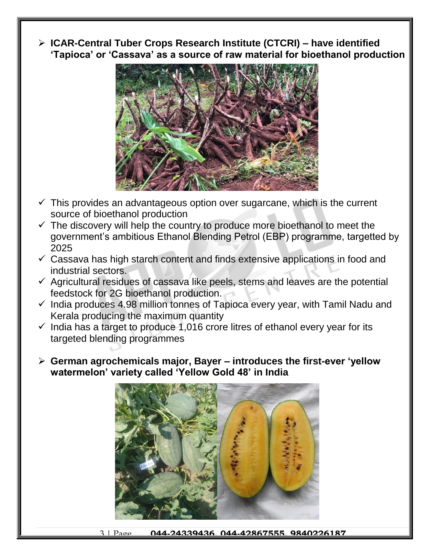**ICAR-Central Tuber Crops Research Institute (CTCRI) – have identified 'Tapioca' or 'Cassava' as a source of raw material for bioethanol production**



- $\checkmark$  This provides an advantageous option over sugarcane, which is the current source of bioethanol production
- $\checkmark$  The discovery will help the country to produce more bioethanol to meet the government's ambitious Ethanol Blending Petrol (EBP) programme, targetted by 2025
- $\checkmark$  Cassava has high starch content and finds extensive applications in food and industrial sectors.
- $\checkmark$  Agricultural residues of cassava like peels, stems and leaves are the potential feedstock for 2G bioethanol production.
- $\checkmark$  India produces 4.98 million tonnes of Tapioca every year, with Tamil Nadu and Kerala producing the maximum quantity
- $\checkmark$  India has a target to produce 1,016 crore litres of ethanol every year for its targeted blending programmes
- **German agrochemicals major, Bayer – introduces the first-ever 'yellow watermelon' variety called 'Yellow Gold 48' in India**

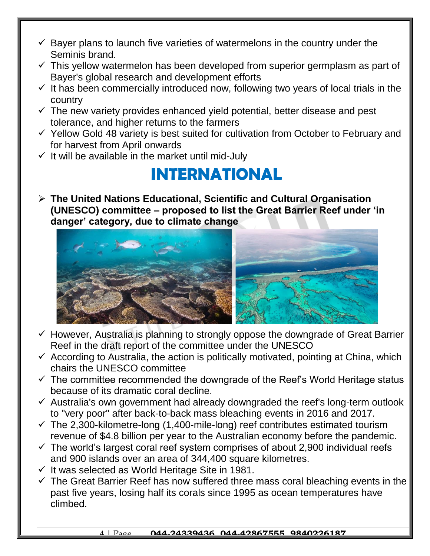- $\checkmark$  Bayer plans to launch five varieties of watermelons in the country under the Seminis brand.
- $\checkmark$  This yellow watermelon has been developed from superior germplasm as part of Bayer's global research and development efforts
- $\checkmark$  It has been commercially introduced now, following two years of local trials in the country
- $\checkmark$  The new variety provides enhanced yield potential, better disease and pest tolerance, and higher returns to the farmers
- $\checkmark$  Yellow Gold 48 variety is best suited for cultivation from October to February and for harvest from April onwards
- $\checkmark$  It will be available in the market until mid-July

### **INTERNATIONAL**

 **The United Nations Educational, Scientific and Cultural Organisation (UNESCO) committee – proposed to list the Great Barrier Reef under 'in danger' category, due to climate change**



- $\checkmark$  However, Australia is planning to strongly oppose the downgrade of Great Barrier Reef in the draft report of the committee under the UNESCO
- $\checkmark$  According to Australia, the action is politically motivated, pointing at China, which chairs the UNESCO committee
- $\checkmark$  The committee recommended the downgrade of the Reef's World Heritage status because of its dramatic coral decline.
- $\checkmark$  Australia's own government had already downgraded the reef's long-term outlook to "very poor" after back-to-back mass bleaching events in 2016 and 2017.
- $\checkmark$  The 2,300-kilometre-long (1,400-mile-long) reef contributes estimated tourism revenue of \$4.8 billion per year to the Australian economy before the pandemic.
- $\checkmark$  The world's largest coral reef system comprises of about 2,900 individual reefs and 900 islands over an area of 344,400 square kilometres.
- $\checkmark$  It was selected as World Heritage Site in 1981.
- $\checkmark$  The Great Barrier Reef has now suffered three mass coral bleaching events in the past five years, losing half its corals since 1995 as ocean temperatures have climbed.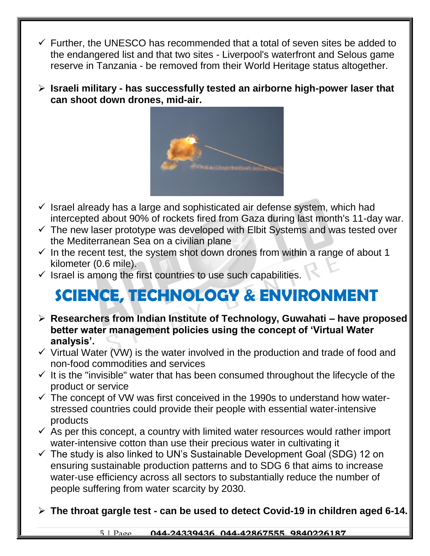- $\checkmark$  Further, the UNESCO has recommended that a total of seven sites be added to the endangered list and that two sites - Liverpool's waterfront and Selous game reserve in Tanzania - be removed from their World Heritage status altogether.
- **Israeli military - has successfully tested an airborne high-power laser that can shoot down drones, mid-air.**



- $\checkmark$  Israel already has a large and sophisticated air defense system, which had intercepted about 90% of rockets fired from Gaza during last month's 11-day war.
- $\checkmark$  The new laser prototype was developed with Elbit Systems and was tested over the Mediterranean Sea on a civilian plane
- $\checkmark$  In the recent test, the system shot down drones from within a range of about 1 kilometer (0.6 mile).
- $\checkmark$  Israel is among the first countries to use such capabilities.

# **SCIENCE, TECHNOLOGY & ENVIRONMENT**

- **Researchers from Indian Institute of Technology, Guwahati – have proposed better water management policies using the concept of 'Virtual Water analysis'.**
- $\checkmark$  Virtual Water (VW) is the water involved in the production and trade of food and non-food commodities and services
- $\checkmark$  It is the "invisible" water that has been consumed throughout the lifecycle of the product or service
- $\checkmark$  The concept of VW was first conceived in the 1990s to understand how waterstressed countries could provide their people with essential water-intensive products
- $\checkmark$  As per this concept, a country with limited water resources would rather import water-intensive cotton than use their precious water in cultivating it
- $\checkmark$  The study is also linked to UN's Sustainable Development Goal (SDG) 12 on ensuring sustainable production patterns and to SDG 6 that aims to increase water-use efficiency across all sectors to substantially reduce the number of people suffering from water scarcity by 2030.
- **The throat gargle test - can be used to detect Covid-19 in children aged 6-14.**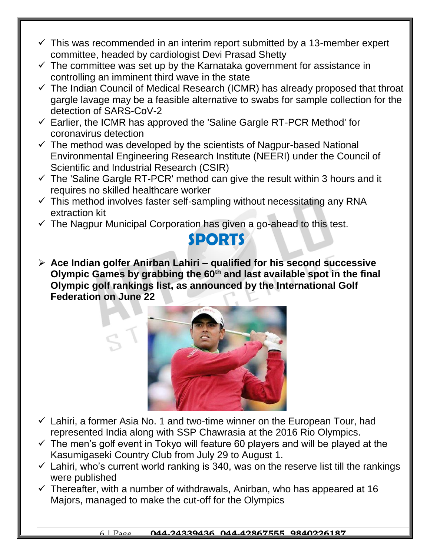- $\checkmark$  This was recommended in an interim report submitted by a 13-member expert committee, headed by cardiologist Devi Prasad Shetty
- $\checkmark$  The committee was set up by the Karnataka government for assistance in controlling an imminent third wave in the state
- $\checkmark$  The Indian Council of Medical Research (ICMR) has already proposed that throat gargle lavage may be a feasible alternative to swabs for sample collection for the detection of SARS-CoV-2
- $\checkmark$  Earlier, the ICMR has approved the 'Saline Gargle RT-PCR Method' for coronavirus detection
- $\checkmark$  The method was developed by the scientists of Nagpur-based National Environmental Engineering Research Institute (NEERI) under the Council of Scientific and Industrial Research (CSIR)
- $\checkmark$  The 'Saline Gargle RT-PCR' method can give the result within 3 hours and it requires no skilled healthcare worker
- $\checkmark$  This method involves faster self-sampling without necessitating any RNA extraction kit
- $\checkmark$  The Nagpur Municipal Corporation has given a go-ahead to this test.

#### **SPORTS**

 **Ace Indian golfer Anirban Lahiri – qualified for his second successive Olympic Games by grabbing the 60th and last available spot in the final Olympic golf rankings list, as announced by the International Golf Federation on June 22**



- $\checkmark$  Lahiri, a former Asia No. 1 and two-time winner on the European Tour, had represented India along with SSP Chawrasia at the 2016 Rio Olympics.
- $\checkmark$  The men's golf event in Tokyo will feature 60 players and will be played at the Kasumigaseki Country Club from July 29 to August 1.
- $\checkmark$  Lahiri, who's current world ranking is 340, was on the reserve list till the rankings were published
- $\checkmark$  Thereafter, with a number of withdrawals, Anirban, who has appeared at 16 Majors, managed to make the cut-off for the Olympics